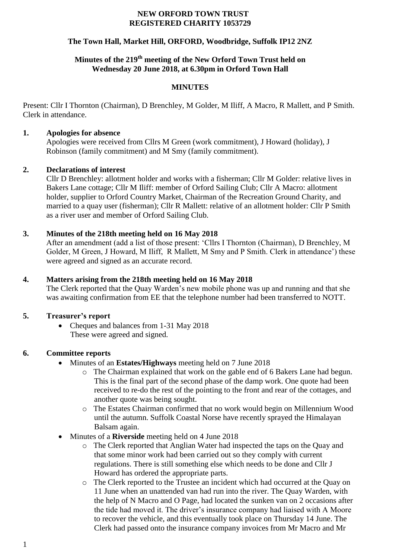#### **NEW ORFORD TOWN TRUST REGISTERED CHARITY 1053729**

### **The Town Hall, Market Hill, ORFORD, Woodbridge, Suffolk IP12 2NZ**

# **Minutes of the 219th meeting of the New Orford Town Trust held on Wednesday 20 June 2018, at 6.30pm in Orford Town Hall**

#### **MINUTES**

Present: Cllr I Thornton (Chairman), D Brenchley, M Golder, M Iliff, A Macro, R Mallett, and P Smith. Clerk in attendance.

#### **1. Apologies for absence**

Apologies were received from Cllrs M Green (work commitment), J Howard (holiday), J Robinson (family commitment) and M Smy (family commitment).

#### **2. Declarations of interest**

Cllr D Brenchley: allotment holder and works with a fisherman; Cllr M Golder: relative lives in Bakers Lane cottage; Cllr M Iliff: member of Orford Sailing Club; Cllr A Macro: allotment holder, supplier to Orford Country Market, Chairman of the Recreation Ground Charity, and married to a quay user (fisherman); Cllr R Mallett: relative of an allotment holder: Cllr P Smith as a river user and member of Orford Sailing Club.

### **3. Minutes of the 218th meeting held on 16 May 2018**

After an amendment (add a list of those present: 'Cllrs I Thornton (Chairman), D Brenchley, M Golder, M Green, J Howard, M Iliff, R Mallett, M Smy and P Smith. Clerk in attendance') these were agreed and signed as an accurate record.

#### **4. Matters arising from the 218th meeting held on 16 May 2018**

The Clerk reported that the Quay Warden's new mobile phone was up and running and that she was awaiting confirmation from EE that the telephone number had been transferred to NOTT.

### **5. Treasurer's report**

• Cheques and balances from 1-31 May 2018 These were agreed and signed.

### **6. Committee reports**

- Minutes of an **Estates/Highways** meeting held on 7 June 2018
	- o The Chairman explained that work on the gable end of 6 Bakers Lane had begun. This is the final part of the second phase of the damp work. One quote had been received to re-do the rest of the pointing to the front and rear of the cottages, and another quote was being sought.
	- o The Estates Chairman confirmed that no work would begin on Millennium Wood until the autumn. Suffolk Coastal Norse have recently sprayed the Himalayan Balsam again.
- Minutes of a **Riverside** meeting held on 4 June 2018
	- o The Clerk reported that Anglian Water had inspected the taps on the Quay and that some minor work had been carried out so they comply with current regulations. There is still something else which needs to be done and Cllr J Howard has ordered the appropriate parts.
	- o The Clerk reported to the Trustee an incident which had occurred at the Quay on 11 June when an unattended van had run into the river. The Quay Warden, with the help of N Macro and O Page, had located the sunken van on 2 occasions after the tide had moved it. The driver's insurance company had liaised with A Moore to recover the vehicle, and this eventually took place on Thursday 14 June. The Clerk had passed onto the insurance company invoices from Mr Macro and Mr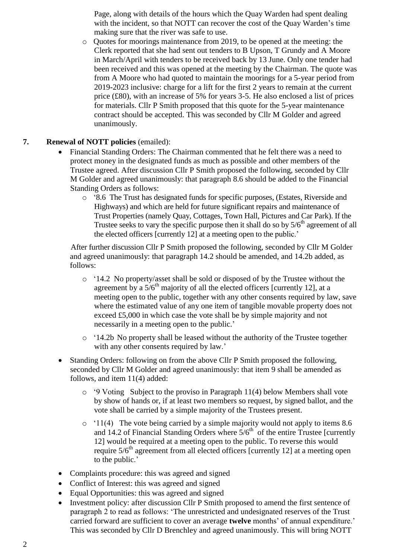Page, along with details of the hours which the Quay Warden had spent dealing with the incident, so that NOTT can recover the cost of the Quay Warden's time making sure that the river was safe to use.

o Quotes for moorings maintenance from 2019, to be opened at the meeting: the Clerk reported that she had sent out tenders to B Upson, T Grundy and A Moore in March/April with tenders to be received back by 13 June. Only one tender had been received and this was opened at the meeting by the Chairman. The quote was from A Moore who had quoted to maintain the moorings for a 5-year period from 2019-2023 inclusive: charge for a lift for the first 2 years to remain at the current price (£80), with an increase of 5% for years 3-5. He also enclosed a list of prices for materials. Cllr P Smith proposed that this quote for the 5-year maintenance contract should be accepted. This was seconded by Cllr M Golder and agreed unanimously.

## **7. Renewal of NOTT policies** (emailed):

- Financial Standing Orders: The Chairman commented that he felt there was a need to protect money in the designated funds as much as possible and other members of the Trustee agreed. After discussion Cllr P Smith proposed the following, seconded by Cllr M Golder and agreed unanimously: that paragraph 8.6 should be added to the Financial Standing Orders as follows:
	- o '8.6 The Trust has designated funds for specific purposes, (Estates, Riverside and Highways) and which are held for future significant repairs and maintenance of Trust Properties (namely Quay, Cottages, Town Hall, Pictures and Car Park). If the Trustee seeks to vary the specific purpose then it shall do so by  $5/6<sup>th</sup>$  agreement of all the elected officers [currently 12] at a meeting open to the public.'

After further discussion Cllr P Smith proposed the following, seconded by Cllr M Golder and agreed unanimously: that paragraph 14.2 should be amended, and 14.2b added, as follows:

- o '14.2 No property/asset shall be sold or disposed of by the Trustee without the agreement by a  $5/6<sup>th</sup>$  majority of all the elected officers [currently 12], at a meeting open to the public, together with any other consents required by law, save where the estimated value of any one item of tangible movable property does not exceed £5,000 in which case the vote shall be by simple majority and not necessarily in a meeting open to the public.'
- o '14.2b No property shall be leased without the authority of the Trustee together with any other consents required by law.'
- Standing Orders: following on from the above Cllr P Smith proposed the following, seconded by Cllr M Golder and agreed unanimously: that item 9 shall be amended as follows, and item 11(4) added:
	- o '9 Voting Subject to the proviso in Paragraph 11(4) below Members shall vote by show of hands or, if at least two members so request, by signed ballot, and the vote shall be carried by a simple majority of the Trustees present.
	- o '11(4) The vote being carried by a simple majority would not apply to items 8.6 and 14.2 of Financial Standing Orders where  $5/6<sup>th</sup>$  of the entire Trustee [currently 12] would be required at a meeting open to the public. To reverse this would require  $5/6<sup>th</sup>$  agreement from all elected officers [currently 12] at a meeting open to the public.'
- Complaints procedure: this was agreed and signed
- Conflict of Interest: this was agreed and signed
- Equal Opportunities: this was agreed and signed
- Investment policy: after discussion Cllr P Smith proposed to amend the first sentence of paragraph 2 to read as follows: 'The unrestricted and undesignated reserves of the Trust carried forward are sufficient to cover an average **twelve** months' of annual expenditure.' This was seconded by Cllr D Brenchley and agreed unanimously. This will bring NOTT